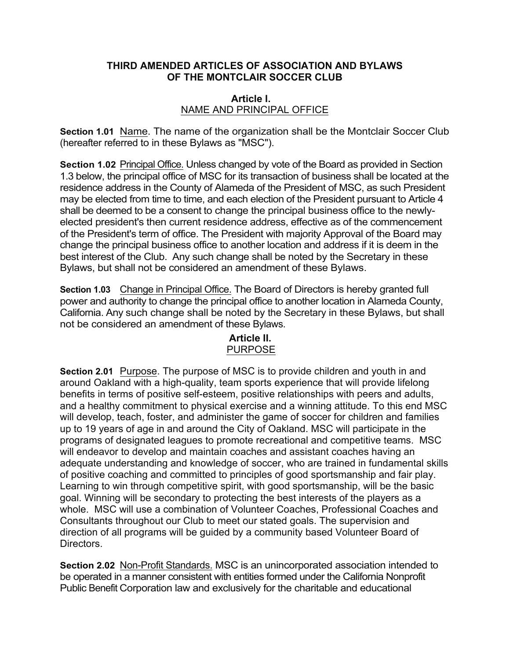#### **THIRD AMENDED ARTICLES OF ASSOCIATION AND BYLAWS OF THE MONTCLAIR SOCCER CLUB**

#### **Article I.** NAME AND PRINCIPAL OFFICE

**Section 1.01** Name. The name of the organization shall be the Montclair Soccer Club (hereafter referred to in these Bylaws as "MSC").

**Section 1.02** Principal Office. Unless changed by vote of the Board as provided in Section 1.3 below, the principal office of MSC for its transaction of business shall be located at the residence address in the County of Alameda of the President of MSC, as such President may be elected from time to time, and each election of the President pursuant to Article 4 shall be deemed to be a consent to change the principal business office to the newlyelected president's then current residence address, effective as of the commencement of the President's term of office. The President with majority Approval of the Board may change the principal business office to another location and address if it is deem in the best interest of the Club. Any such change shall be noted by the Secretary in these Bylaws, but shall not be considered an amendment of these Bylaws.

**Section 1.03** Change in Principal Office. The Board of Directors is hereby granted full power and authority to change the principal office to another location in Alameda County, California. Any such change shall be noted by the Secretary in these Bylaws, but shall not be considered an amendment of these Bylaws.

# **Article II.** PURPOSE

**Section 2.01** Purpose. The purpose of MSC is to provide children and youth in and around Oakland with a high-quality, team sports experience that will provide lifelong benefits in terms of positive self-esteem, positive relationships with peers and adults, and a healthy commitment to physical exercise and a winning attitude. To this end MSC will develop, teach, foster, and administer the game of soccer for children and families up to 19 years of age in and around the City of Oakland. MSC will participate in the programs of designated leagues to promote recreational and competitive teams. MSC will endeavor to develop and maintain coaches and assistant coaches having an adequate understanding and knowledge of soccer, who are trained in fundamental skills of positive coaching and committed to principles of good sportsmanship and fair play. Learning to win through competitive spirit, with good sportsmanship, will be the basic goal. Winning will be secondary to protecting the best interests of the players as a whole. MSC will use a combination of Volunteer Coaches, Professional Coaches and Consultants throughout our Club to meet our stated goals. The supervision and direction of all programs will be guided by a community based Volunteer Board of Directors.

**Section 2.02** Non-Profit Standards. MSC is an unincorporated association intended to be operated in a manner consistent with entities formed under the California Nonprofit Public Benefit Corporation law and exclusively for the charitable and educational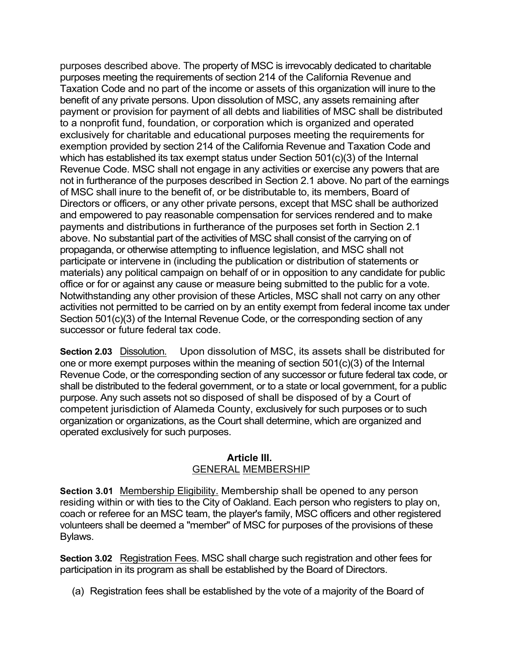purposes described above. The property of MSC is irrevocably dedicated to charitable purposes meeting the requirements of section 214 of the California Revenue and Taxation Code and no part of the income or assets of this organization will inure to the benefit of any private persons. Upon dissolution of MSC, any assets remaining after payment or provision for payment of all debts and liabilities of MSC shall be distributed to a nonprofit fund, foundation, or corporation which is organized and operated exclusively for charitable and educational purposes meeting the requirements for exemption provided by section 214 of the California Revenue and Taxation Code and which has established its tax exempt status under Section 501(c)(3) of the Internal Revenue Code. MSC shall not engage in any activities or exercise any powers that are not in furtherance of the purposes described in Section 2.1 above. No part of the earnings of MSC shall inure to the benefit of, or be distributable to, its members, Board of Directors or officers, or any other private persons, except that MSC shall be authorized and empowered to pay reasonable compensation for services rendered and to make payments and distributions in furtherance of the purposes set forth in Section 2.1 above. No substantial part of the activities of MSC shall consist of the carrying on of propaganda, or otherwise attempting to influence legislation, and MSC shall not participate or intervene in (including the publication or distribution of statements or materials) any political campaign on behalf of or in opposition to any candidate for public office or for or against any cause or measure being submitted to the public for a vote. Notwithstanding any other provision of these Articles, MSC shall not carry on any other activities not permitted to be carried on by an entity exempt from federal income tax under Section 501(c)(3) of the Internal Revenue Code, or the corresponding section of any successor or future federal tax code.

**Section 2.03** Dissolution. Upon dissolution of MSC, its assets shall be distributed for one or more exempt purposes within the meaning of section 501(c)(3) of the Internal Revenue Code, or the corresponding section of any successor or future federal tax code, or shall be distributed to the federal government, or to a state or local government, for a public purpose. Any such assets not so disposed of shall be disposed of by a Court of competent jurisdiction of Alameda County, exclusively for such purposes or to such organization or organizations, as the Court shall determine, which are organized and operated exclusively for such purposes.

### **Article III.** GENERAL MEMBERSHIP

**Section 3.01** Membership Eligibility. Membership shall be opened to any person residing within or with ties to the City of Oakland. Each person who registers to play on, coach or referee for an MSC team, the player's family, MSC officers and other registered volunteers shall be deemed a "member" of MSC for purposes of the provisions of these Bylaws.

**Section 3.02** Registration Fees. MSC shall charge such registration and other fees for participation in its program as shall be established by the Board of Directors.

(a) Registration fees shall be established by the vote of a majority of the Board of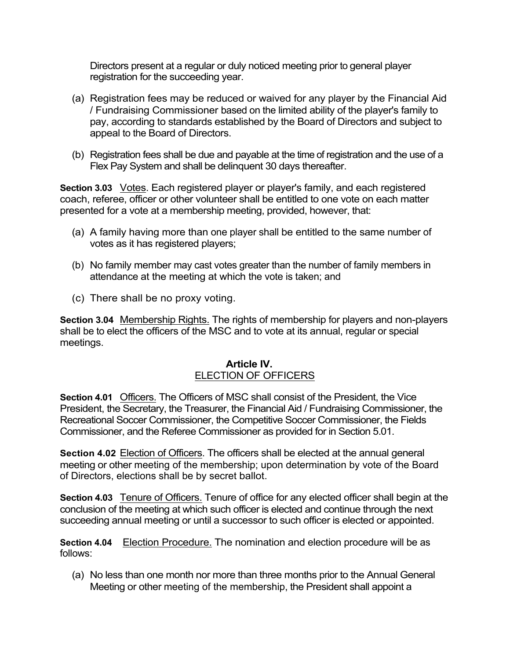Directors present at a regular or duly noticed meeting prior to general player registration for the succeeding year.

- (a) Registration fees may be reduced or waived for any player by the Financial Aid / Fundraising Commissioner based on the limited ability of the player's family to pay, according to standards established by the Board of Directors and subject to appeal to the Board of Directors.
- (b) Registration fees shall be due and payable at the time of registration and the use of a Flex Pay System and shall be delinquent 30 days thereafter.

**Section 3.03** Votes. Each registered player or player's family, and each registered coach, referee, officer or other volunteer shall be entitled to one vote on each matter presented for a vote at a membership meeting, provided, however, that:

- (a) A family having more than one player shall be entitled to the same number of votes as it has registered players;
- (b) No family member may cast votes greater than the number of family members in attendance at the meeting at which the vote is taken; and
- (c) There shall be no proxy voting.

**Section 3.04** Membership Rights. The rights of membership for players and non-players shall be to elect the officers of the MSC and to vote at its annual, regular or special meetings.

### **Article IV.** ELECTION OF OFFICERS

**Section 4.01** Officers. The Officers of MSC shall consist of the President, the Vice President, the Secretary, the Treasurer, the Financial Aid / Fundraising Commissioner, the Recreational Soccer Commissioner, the Competitive Soccer Commissioner, the Fields Commissioner, and the Referee Commissioner as provided for in Section 5.01.

Section 4.02 Election of Officers. The officers shall be elected at the annual general meeting or other meeting of the membership; upon determination by vote of the Board of Directors, elections shall be by secret ballot.

**Section 4.03** Tenure of Officers. Tenure of office for any elected officer shall begin at the conclusion of the meeting at which such officer is elected and continue through the next succeeding annual meeting or until a successor to such officer is elected or appointed.

**Section 4.04** Election Procedure. The nomination and election procedure will be as follows:

(a) No less than one month nor more than three months prior to the Annual General Meeting or other meeting of the membership, the President shall appoint a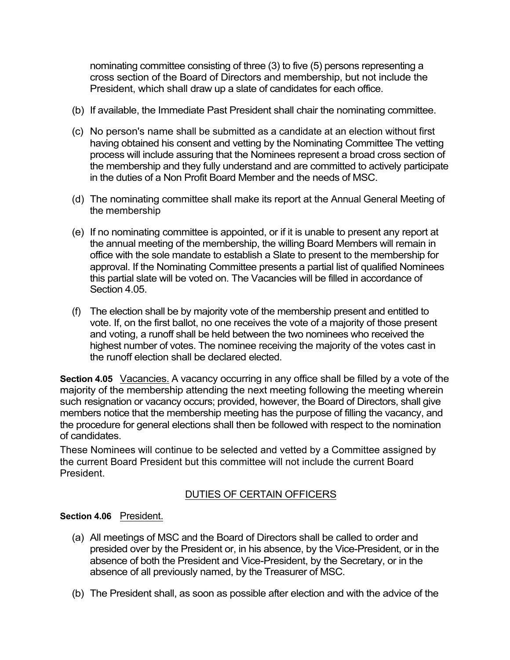nominating committee consisting of three (3) to five (5) persons representing a cross section of the Board of Directors and membership, but not include the President, which shall draw up a slate of candidates for each office.

- (b) If available, the Immediate Past President shall chair the nominating committee.
- (c) No person's name shall be submitted as a candidate at an election without first having obtained his consent and vetting by the Nominating Committee The vetting process will include assuring that the Nominees represent a broad cross section of the membership and they fully understand and are committed to actively participate in the duties of a Non Profit Board Member and the needs of MSC.
- (d) The nominating committee shall make its report at the Annual General Meeting of the membership
- (e) If no nominating committee is appointed, or if it is unable to present any report at the annual meeting of the membership, the willing Board Members will remain in office with the sole mandate to establish a Slate to present to the membership for approval. If the Nominating Committee presents a partial list of qualified Nominees this partial slate will be voted on. The Vacancies will be filled in accordance of Section 4.05.
- (f) The election shall be by majority vote of the membership present and entitled to vote. If, on the first ballot, no one receives the vote of a majority of those present and voting, a runoff shall be held between the two nominees who received the highest number of votes. The nominee receiving the majority of the votes cast in the runoff election shall be declared elected.

**Section 4.05** Vacancies. A vacancy occurring in any office shall be filled by a vote of the majority of the membership attending the next meeting following the meeting wherein such resignation or vacancy occurs; provided, however, the Board of Directors, shall give members notice that the membership meeting has the purpose of filling the vacancy, and the procedure for general elections shall then be followed with respect to the nomination of candidates.

These Nominees will continue to be selected and vetted by a Committee assigned by the current Board President but this committee will not include the current Board President.

# DUTIES OF CERTAIN OFFICERS

### **Section 4.06** President.

- (a) All meetings of MSC and the Board of Directors shall be called to order and presided over by the President or, in his absence, by the Vice-President, or in the absence of both the President and Vice-President, by the Secretary, or in the absence of all previously named, by the Treasurer of MSC.
- (b) The President shall, as soon as possible after election and with the advice of the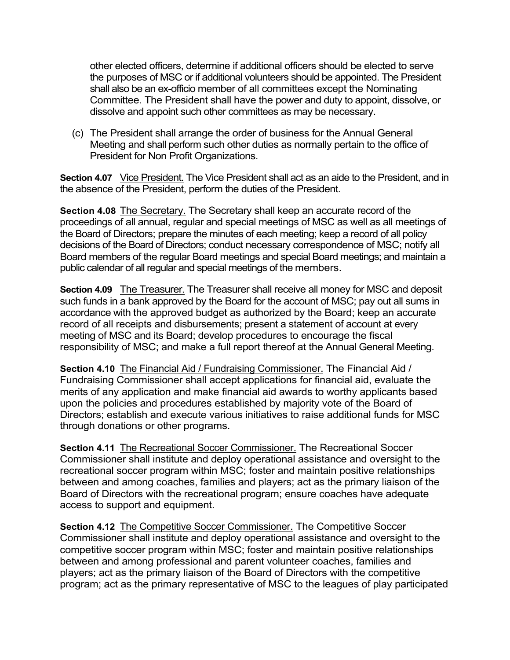other elected officers, determine if additional officers should be elected to serve the purposes of MSC or if additional volunteers should be appointed. The President shall also be an ex-officio member of all committees except the Nominating Committee. The President shall have the power and duty to appoint, dissolve, or dissolve and appoint such other committees as may be necessary.

(c) The President shall arrange the order of business for the Annual General Meeting and shall perform such other duties as normally pertain to the office of President for Non Profit Organizations.

**Section 4.07** Vice President. The Vice President shall act as an aide to the President, and in the absence of the President, perform the duties of the President.

**Section 4.08** The Secretary. The Secretary shall keep an accurate record of the proceedings of all annual, regular and special meetings of MSC as well as all meetings of the Board of Directors; prepare the minutes of each meeting; keep a record of all policy decisions of the Board of Directors; conduct necessary correspondence of MSC; notify all Board members of the regular Board meetings and special Board meetings; and maintain a public calendar of all regular and special meetings of the members.

**Section 4.09** The Treasurer. The Treasurer shall receive all money for MSC and deposit such funds in a bank approved by the Board for the account of MSC; pay out all sums in accordance with the approved budget as authorized by the Board; keep an accurate record of all receipts and disbursements; present a statement of account at every meeting of MSC and its Board; develop procedures to encourage the fiscal responsibility of MSC; and make a full report thereof at the Annual General Meeting.

**Section 4.10** The Financial Aid / Fundraising Commissioner. The Financial Aid / Fundraising Commissioner shall accept applications for financial aid, evaluate the merits of any application and make financial aid awards to worthy applicants based upon the policies and procedures established by majority vote of the Board of Directors; establish and execute various initiatives to raise additional funds for MSC through donations or other programs.

**Section 4.11** The Recreational Soccer Commissioner. The Recreational Soccer Commissioner shall institute and deploy operational assistance and oversight to the recreational soccer program within MSC; foster and maintain positive relationships between and among coaches, families and players; act as the primary liaison of the Board of Directors with the recreational program; ensure coaches have adequate access to support and equipment.

**Section 4.12** The Competitive Soccer Commissioner. The Competitive Soccer Commissioner shall institute and deploy operational assistance and oversight to the competitive soccer program within MSC; foster and maintain positive relationships between and among professional and parent volunteer coaches, families and players; act as the primary liaison of the Board of Directors with the competitive program; act as the primary representative of MSC to the leagues of play participated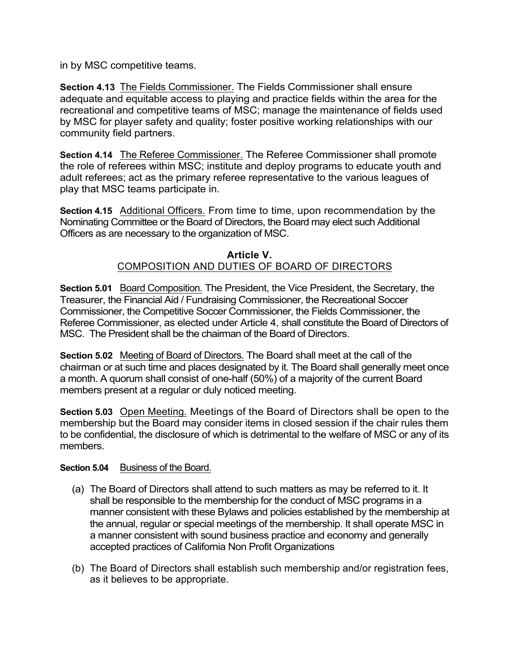in by MSC competitive teams.

**Section 4.13** The Fields Commissioner. The Fields Commissioner shall ensure adequate and equitable access to playing and practice fields within the area for the recreational and competitive teams of MSC; manage the maintenance of fields used by MSC for player safety and quality; foster positive working relationships with our community field partners.

**Section 4.14** The Referee Commissioner. The Referee Commissioner shall promote the role of referees within MSC; institute and deploy programs to educate youth and adult referees; act as the primary referee representative to the various leagues of play that MSC teams participate in.

**Section 4.15** Additional Officers. From time to time, upon recommendation by the Nominating Committee or the Board of Directors, the Board may elect such Additional Officers as are necessary to the organization of MSC.

### **Article V.** COMPOSITION AND DUTIES OF BOARD OF DIRECTORS

**Section 5.01** Board Composition. The President, the Vice President, the Secretary, the Treasurer, the Financial Aid / Fundraising Commissioner, the Recreational Soccer Commissioner, the Competitive Soccer Commissioner, the Fields Commissioner, the Referee Commissioner, as elected under Article 4, shall constitute the Board of Directors of MSC. The President shall be the chairman of the Board of Directors.

**Section 5.02** Meeting of Board of Directors. The Board shall meet at the call of the chairman or at such time and places designated by it. The Board shall generally meet once a month. A quorum shall consist of one-half (50%) of a majority of the current Board members present at a regular or duly noticed meeting.

**Section 5.03** Open Meeting. Meetings of the Board of Directors shall be open to the membership but the Board may consider items in closed session if the chair rules them to be confidential, the disclosure of which is detrimental to the welfare of MSC or any of its members.

### **Section 5.04** Business of the Board.

- (a) The Board of Directors shall attend to such matters as may be referred to it. It shall be responsible to the membership for the conduct of MSC programs in a manner consistent with these Bylaws and policies established by the membership at the annual, regular or special meetings of the membership. It shall operate MSC in a manner consistent with sound business practice and economy and generally accepted practices of California Non Profit Organizations
- (b) The Board of Directors shall establish such membership and/or registration fees, as it believes to be appropriate.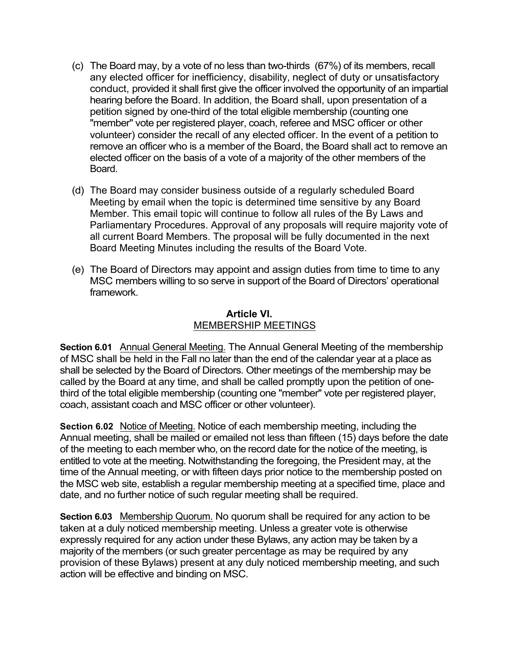- (c) The Board may, by a vote of no less than two-thirds (67%) of its members, recall any elected officer for inefficiency, disability, neglect of duty or unsatisfactory conduct, provided it shall first give the officer involved the opportunity of an impartial hearing before the Board. In addition, the Board shall, upon presentation of a petition signed by one-third of the total eligible membership (counting one "member" vote per registered player, coach, referee and MSC officer or other volunteer) consider the recall of any elected officer. In the event of a petition to remove an officer who is a member of the Board, the Board shall act to remove an elected officer on the basis of a vote of a majority of the other members of the Board.
- (d) The Board may consider business outside of a regularly scheduled Board Meeting by email when the topic is determined time sensitive by any Board Member. This email topic will continue to follow all rules of the By Laws and Parliamentary Procedures. Approval of any proposals will require majority vote of all current Board Members. The proposal will be fully documented in the next Board Meeting Minutes including the results of the Board Vote.
- (e) The Board of Directors may appoint and assign duties from time to time to any MSC members willing to so serve in support of the Board of Directors' operational framework.

### **Article VI.** MEMBERSHIP MEETINGS

**Section 6.01** Annual General Meeting. The Annual General Meeting of the membership of MSC shall be held in the Fall no later than the end of the calendar year at a place as shall be selected by the Board of Directors. Other meetings of the membership may be called by the Board at any time, and shall be called promptly upon the petition of onethird of the total eligible membership (counting one "member" vote per registered player, coach, assistant coach and MSC officer or other volunteer).

**Section 6.02** Notice of Meeting. Notice of each membership meeting, including the Annual meeting, shall be mailed or emailed not less than fifteen (15) days before the date of the meeting to each member who, on the record date for the notice of the meeting, is entitled to vote at the meeting. Notwithstanding the foregoing, the President may, at the time of the Annual meeting, or with fifteen days prior notice to the membership posted on the MSC web site, establish a regular membership meeting at a specified time, place and date, and no further notice of such regular meeting shall be required.

**Section 6.03** Membership Quorum. No quorum shall be required for any action to be taken at a duly noticed membership meeting. Unless a greater vote is otherwise expressly required for any action under these Bylaws, any action may be taken by a majority of the members (or such greater percentage as may be required by any provision of these Bylaws) present at any duly noticed membership meeting, and such action will be effective and binding on MSC.